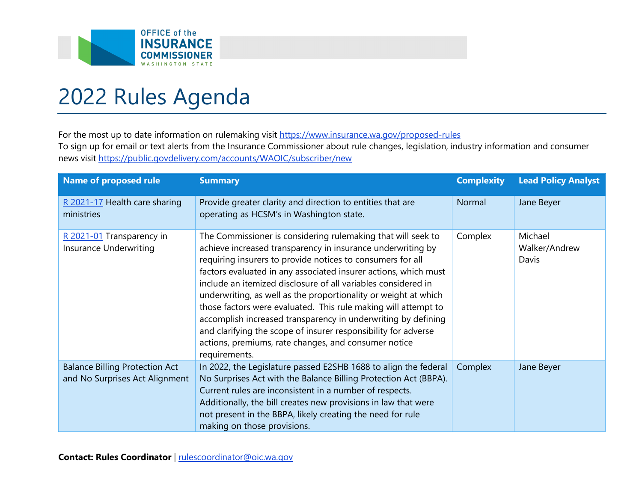

## 2022 Rules Agenda

For the most up to date information on rulemaking visit https://www.insurance.wa.gov/proposed-rules To sign up for email or text alerts from the Insurance Commissioner about rule changes, legislation, industry information and consumer news visit<https://public.govdelivery.com/accounts/WAOIC/subscriber/new>

| <b>Name of proposed rule</b>                                            | <b>Summary</b>                                                                                                                                                                                                                                                                                                                                                                                                                                                                                                                                                                                                                                                                 | <b>Complexity</b> | <b>Lead Policy Analyst</b>        |
|-------------------------------------------------------------------------|--------------------------------------------------------------------------------------------------------------------------------------------------------------------------------------------------------------------------------------------------------------------------------------------------------------------------------------------------------------------------------------------------------------------------------------------------------------------------------------------------------------------------------------------------------------------------------------------------------------------------------------------------------------------------------|-------------------|-----------------------------------|
| R 2021-17 Health care sharing<br>ministries                             | Provide greater clarity and direction to entities that are<br>operating as HCSM's in Washington state.                                                                                                                                                                                                                                                                                                                                                                                                                                                                                                                                                                         | Normal            | Jane Beyer                        |
| R 2021-01 Transparency in<br>Insurance Underwriting                     | The Commissioner is considering rulemaking that will seek to<br>achieve increased transparency in insurance underwriting by<br>requiring insurers to provide notices to consumers for all<br>factors evaluated in any associated insurer actions, which must<br>include an itemized disclosure of all variables considered in<br>underwriting, as well as the proportionality or weight at which<br>those factors were evaluated. This rule making will attempt to<br>accomplish increased transparency in underwriting by defining<br>and clarifying the scope of insurer responsibility for adverse<br>actions, premiums, rate changes, and consumer notice<br>requirements. | Complex           | Michael<br>Walker/Andrew<br>Davis |
| <b>Balance Billing Protection Act</b><br>and No Surprises Act Alignment | In 2022, the Legislature passed E2SHB 1688 to align the federal<br>No Surprises Act with the Balance Billing Protection Act (BBPA).<br>Current rules are inconsistent in a number of respects.<br>Additionally, the bill creates new provisions in law that were<br>not present in the BBPA, likely creating the need for rule<br>making on those provisions.                                                                                                                                                                                                                                                                                                                  | Complex           | Jane Beyer                        |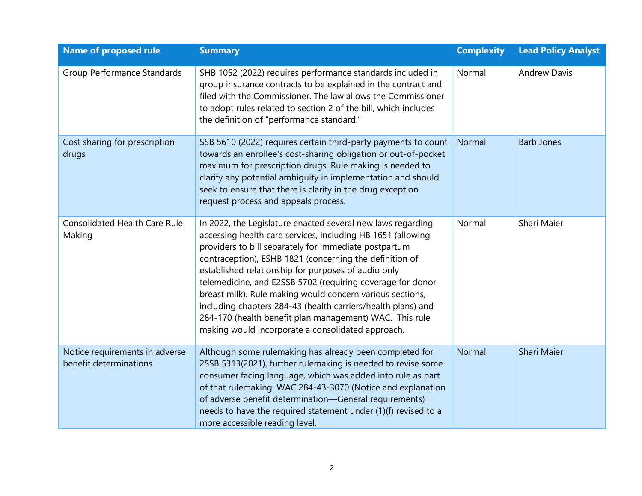| <b>Name of proposed rule</b>                             | <b>Summary</b>                                                                                                                                                                                                                                                                                                                                                                                                                                                                                                                                                                                                   | <b>Complexity</b> | <b>Lead Policy Analyst</b> |
|----------------------------------------------------------|------------------------------------------------------------------------------------------------------------------------------------------------------------------------------------------------------------------------------------------------------------------------------------------------------------------------------------------------------------------------------------------------------------------------------------------------------------------------------------------------------------------------------------------------------------------------------------------------------------------|-------------------|----------------------------|
| Group Performance Standards                              | SHB 1052 (2022) requires performance standards included in<br>group insurance contracts to be explained in the contract and<br>filed with the Commissioner. The law allows the Commissioner<br>to adopt rules related to section 2 of the bill, which includes<br>the definition of "performance standard."                                                                                                                                                                                                                                                                                                      | Normal            | <b>Andrew Davis</b>        |
| Cost sharing for prescription<br>drugs                   | SSB 5610 (2022) requires certain third-party payments to count<br>towards an enrollee's cost-sharing obligation or out-of-pocket<br>maximum for prescription drugs. Rule making is needed to<br>clarify any potential ambiguity in implementation and should<br>seek to ensure that there is clarity in the drug exception<br>request process and appeals process.                                                                                                                                                                                                                                               | Normal            | <b>Barb Jones</b>          |
| <b>Consolidated Health Care Rule</b><br>Making           | In 2022, the Legislature enacted several new laws regarding<br>accessing health care services, including HB 1651 (allowing<br>providers to bill separately for immediate postpartum<br>contraception), ESHB 1821 (concerning the definition of<br>established relationship for purposes of audio only<br>telemedicine, and E2SSB 5702 (requiring coverage for donor<br>breast milk). Rule making would concern various sections,<br>including chapters 284-43 (health carriers/health plans) and<br>284-170 (health benefit plan management) WAC. This rule<br>making would incorporate a consolidated approach. | Normal            | Shari Maier                |
| Notice requirements in adverse<br>benefit determinations | Although some rulemaking has already been completed for<br>2SSB 5313(2021), further rulemaking is needed to revise some<br>consumer facing language, which was added into rule as part<br>of that rulemaking. WAC 284-43-3070 (Notice and explanation<br>of adverse benefit determination-General requirements)<br>needs to have the required statement under (1)(f) revised to a<br>more accessible reading level.                                                                                                                                                                                              | Normal            | Shari Maier                |